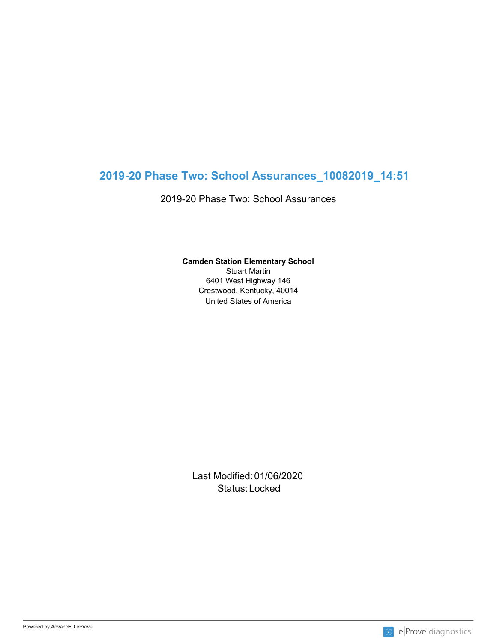# **2019-20 Phase Two: School Assurances\_10082019\_14:51**

2019-20 Phase Two: School Assurances

#### **Camden Station Elementary School**

United States of America Stuart Martin 6401 West Highway 146 Crestwood, Kentucky, 40014

Last Modified: 01/06/2020 Status: Locked and the status of the status of the status of the status of the status of the status of the status of the status of the status of the status of the status of the status of the status of the status of the sta

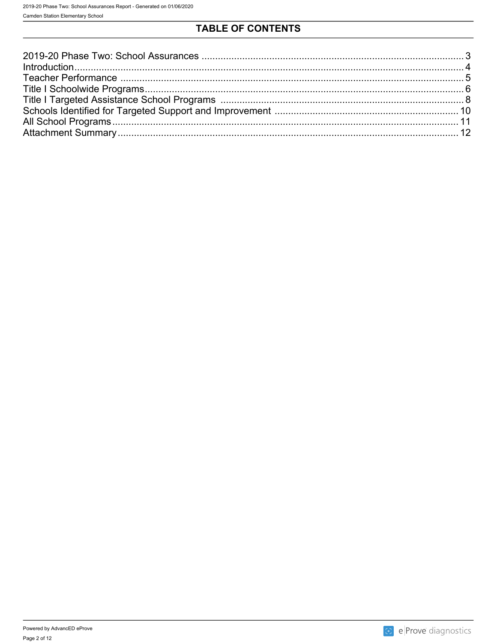## TABLE OF CONTENTS

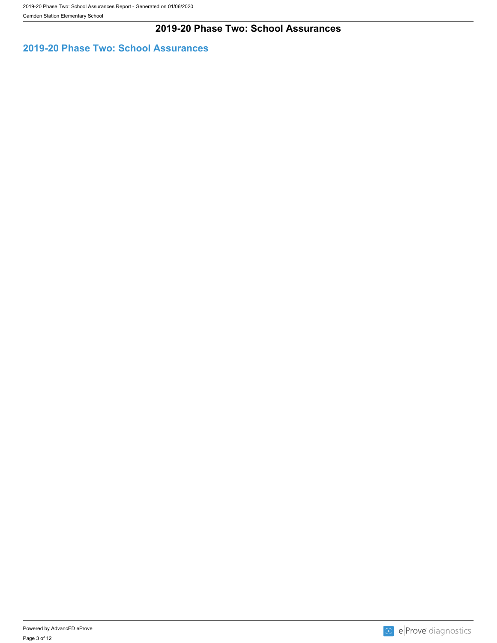Camden Station Elementary School

### **2019-20 Phase Two: School Assurances**

## <span id="page-2-0"></span>**2019-20 Phase Two: School Assurances**

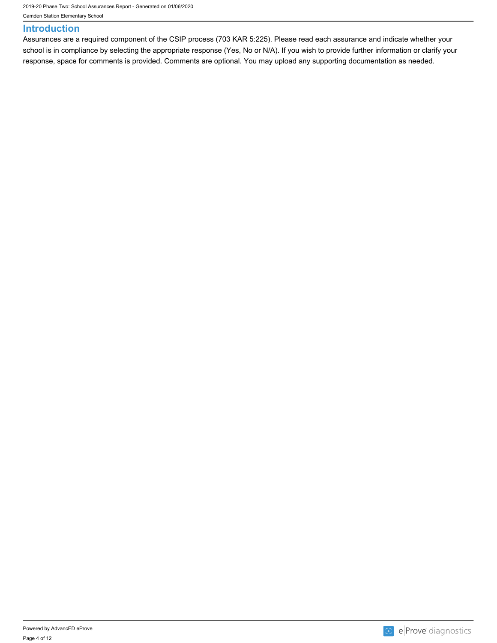2019-20 Phase Two: School Assurances Report - Generated on 01/06/2020

Camden Station Elementary School

#### <span id="page-3-0"></span>**Introduction**

Assurances are a required component of the CSIP process (703 KAR 5:225). Please read each assurance and indicate whether your school is in compliance by selecting the appropriate response (Yes, No or N/A). If you wish to provide further information or clarify your response, space for comments is provided. Comments are optional. You may upload any supporting documentation as needed.

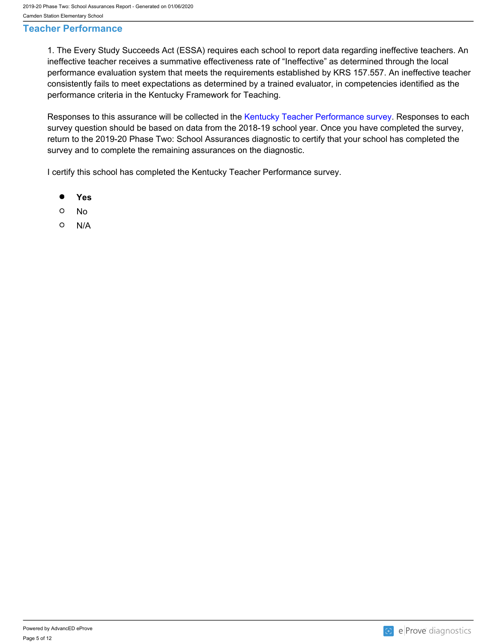#### <span id="page-4-0"></span>**Teacher Performance**

1. The Every Study Succeeds Act (ESSA) requires each school to report data regarding ineffective teachers. An ineffective teacher receives a summative effectiveness rate of "Ineffective" as determined through the local performance evaluation system that meets the requirements established by KRS 157.557. An ineffective teacher consistently fails to meet expectations as determined by a trained evaluator, in competencies identified as the performance criteria in the Kentucky Framework for Teaching.

Responses to this assurance will be collected in the [Kentucky Teacher Performance survey.](https://forms.office.com/Pages/ResponsePage.aspx?id=H8Fgk-aQBketACX83J4u0SJKBqRs3FxHncRPEMQbAXZUNDhIMFJVREpKVFpMOFFUOFkzT0k2R0lZRy4u) Responses to each survey question should be based on data from the 2018-19 school year. Once you have completed the survey, return to the 2019-20 Phase Two: School Assurances diagnostic to certify that your school has completed the survey and to complete the remaining assurances on the diagnostic.

I certify this school has completed the Kentucky Teacher Performance survey.

- $\bullet$ **Yes**
- $\circ$ No
- $\circ$ N/A

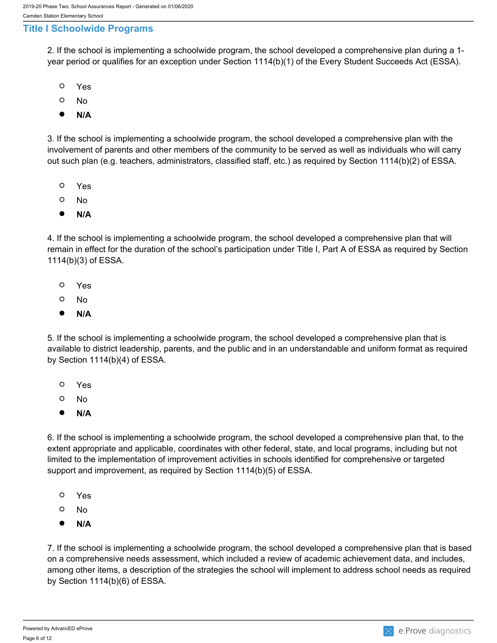#### <span id="page-5-0"></span>**Title I Schoolwide Programs**

2. If the school is implementing a schoolwide program, the school developed a comprehensive plan during a 1 year period or qualifies for an exception under Section 1114(b)(1) of the Every Student Succeeds Act (ESSA).

- $\circ$ Yes
- $\circ$ No
- $\bullet$ **N/A**

3. If the school is implementing a schoolwide program, the school developed a comprehensive plan with the involvement of parents and other members of the community to be served as well as individuals who will carry out such plan (e.g. teachers, administrators, classified staff, etc.) as required by Section 1114(b)(2) of ESSA.

- O Yes
- $\circ$ No
- $\bullet$ **N/A**

4. If the school is implementing a schoolwide program, the school developed a comprehensive plan that will remain in effect for the duration of the school's participation under Title I, Part A of ESSA as required by Section 1114(b)(3) of ESSA.

- $\circ$ Yes
- $\circ$ No
- $\bullet$ **N/A**

5. If the school is implementing a schoolwide program, the school developed a comprehensive plan that is available to district leadership, parents, and the public and in an understandable and uniform format as required by Section 1114(b)(4) of ESSA.

- $\Omega$ Yes
- $\circ$ No
- $\bullet$ **N/A**

6. If the school is implementing a schoolwide program, the school developed a comprehensive plan that, to the extent appropriate and applicable, coordinates with other federal, state, and local programs, including but not limited to the implementation of improvement activities in schools identified for comprehensive or targeted support and improvement, as required by Section 1114(b)(5) of ESSA.

- $\circ$ Yes
- $\circ$ No
- $\bullet$ **N/A**

7. If the school is implementing a schoolwide program, the school developed a comprehensive plan that is based on a comprehensive needs assessment, which included a review of academic achievement data, and includes, among other items, a description of the strategies the school will implement to address school needs as required by Section 1114(b)(6) of ESSA.

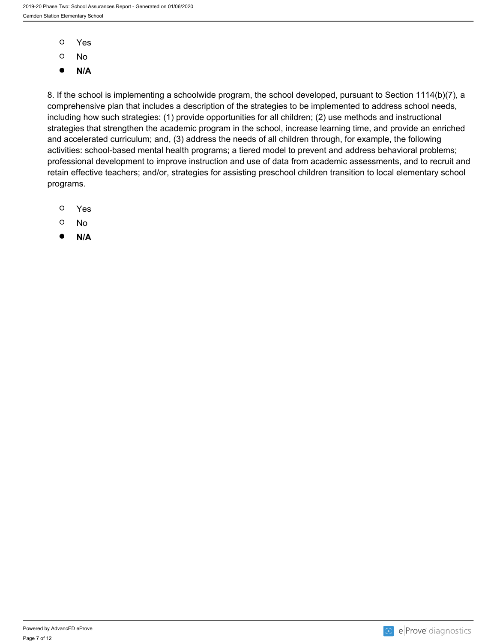- $\circ$ Yes
- $\circ$ No
- $\bullet$ **N/A**

8. If the school is implementing a schoolwide program, the school developed, pursuant to Section 1114(b)(7), a comprehensive plan that includes a description of the strategies to be implemented to address school needs, including how such strategies: (1) provide opportunities for all children; (2) use methods and instructional strategies that strengthen the academic program in the school, increase learning time, and provide an enriched and accelerated curriculum; and, (3) address the needs of all children through, for example, the following activities: school-based mental health programs; a tiered model to prevent and address behavioral problems; professional development to improve instruction and use of data from academic assessments, and to recruit and retain effective teachers; and/or, strategies for assisting preschool children transition to local elementary school programs.

- $\circ$ Yes
- $\circ$ No
- $\bullet$ **N/A**

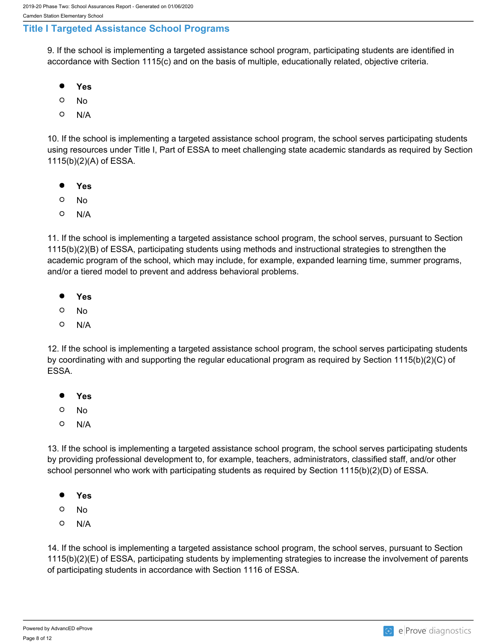### <span id="page-7-0"></span>**Title I Targeted Assistance School Programs**

9. If the school is implementing a targeted assistance school program, participating students are identified in accordance with Section 1115(c) and on the basis of multiple, educationally related, objective criteria.

- $\bullet$ **Yes**
- $\circ$ No
- $\Omega$ N/A

10. If the school is implementing a targeted assistance school program, the school serves participating students using resources under Title I, Part of ESSA to meet challenging state academic standards as required by Section 1115(b)(2)(A) of ESSA.

- $\bullet$ **Yes**
- $\circ$ No
- $\circ$ N/A

11. If the school is implementing a targeted assistance school program, the school serves, pursuant to Section 1115(b)(2)(B) of ESSA, participating students using methods and instructional strategies to strengthen the academic program of the school, which may include, for example, expanded learning time, summer programs, and/or a tiered model to prevent and address behavioral problems.

- $\bullet$ **Yes**
- O No
- $\circ$ N/A

12. If the school is implementing a targeted assistance school program, the school serves participating students by coordinating with and supporting the regular educational program as required by Section 1115(b)(2)(C) of ESSA.

- $\bullet$ **Yes**
- $\circ$ No
- $\circ$ N/A

13. If the school is implementing a targeted assistance school program, the school serves participating students by providing professional development to, for example, teachers, administrators, classified staff, and/or other school personnel who work with participating students as required by Section 1115(b)(2)(D) of ESSA.

- $\bullet$ **Yes**
- $\circ$ No
- $\circ$ N/A

14. If the school is implementing a targeted assistance school program, the school serves, pursuant to Section 1115(b)(2)(E) of ESSA, participating students by implementing strategies to increase the involvement of parents of participating students in accordance with Section 1116 of ESSA.

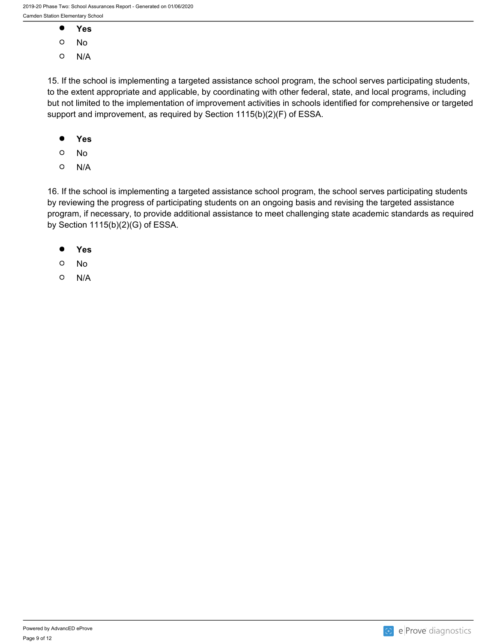- $\bullet$ **Yes**
- $\circ$ No
- $\circ$ N/A

15. If the school is implementing a targeted assistance school program, the school serves participating students, to the extent appropriate and applicable, by coordinating with other federal, state, and local programs, including but not limited to the implementation of improvement activities in schools identified for comprehensive or targeted support and improvement, as required by Section 1115(b)(2)(F) of ESSA.

- $\bullet$ **Yes**
- $\circ$ No
- $\circ$ N/A

16. If the school is implementing a targeted assistance school program, the school serves participating students by reviewing the progress of participating students on an ongoing basis and revising the targeted assistance program, if necessary, to provide additional assistance to meet challenging state academic standards as required by Section 1115(b)(2)(G) of ESSA.

- $\bullet$ **Yes**
- $\circ$ No
- $\circ$ N/A

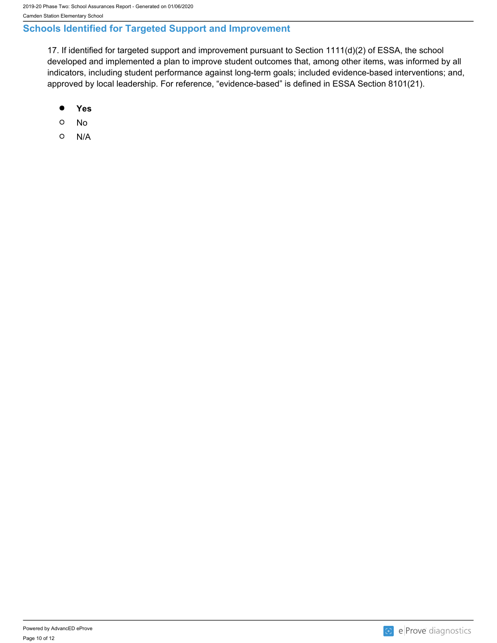## <span id="page-9-0"></span>**Schools Identified for Targeted Support and Improvement**

17. If identified for targeted support and improvement pursuant to Section 1111(d)(2) of ESSA, the school developed and implemented a plan to improve student outcomes that, among other items, was informed by all indicators, including student performance against long-term goals; included evidence-based interventions; and, approved by local leadership. For reference, "evidence-based" is defined in ESSA Section 8101(21).

- $\bullet$ **Yes**
- $\circ$ No
- $\circ$ N/A

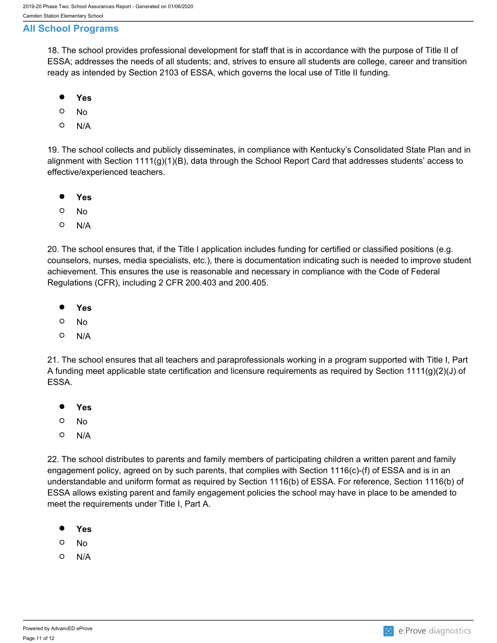### <span id="page-10-0"></span>**All School Programs**

18. The school provides professional development for staff that is in accordance with the purpose of Title II of ESSA; addresses the needs of all students; and, strives to ensure all students are college, career and transition ready as intended by Section 2103 of ESSA, which governs the local use of Title II funding.

- $\bullet$ **Yes**
- $\circ$ No
- $\circ$ N/A

19. The school collects and publicly disseminates, in compliance with Kentucky's Consolidated State Plan and in alignment with Section 1111(g)(1)(B), data through the School Report Card that addresses students' access to effective/experienced teachers.

- $\bullet$ **Yes**
- $\circ$ No
- $\circ$ N/A

20. The school ensures that, if the Title I application includes funding for certified or classified positions (e.g. counselors, nurses, media specialists, etc.), there is documentation indicating such is needed to improve student achievement. This ensures the use is reasonable and necessary in compliance with the Code of Federal Regulations (CFR), including 2 CFR 200.403 and 200.405.

- $\bullet$ **Yes**
- $\circ$ No
- $\circ$ N/A

21. The school ensures that all teachers and paraprofessionals working in a program supported with Title I, Part A funding meet applicable state certification and licensure requirements as required by Section 1111(g)(2)(J) of ESSA.

- $\bullet$ **Yes**
- $\circ$ No
- $\circ$ N/A

22. The school distributes to parents and family members of participating children a written parent and family engagement policy, agreed on by such parents, that complies with Section 1116(c)-(f) of ESSA and is in an understandable and uniform format as required by Section 1116(b) of ESSA. For reference, Section 1116(b) of ESSA allows existing parent and family engagement policies the school may have in place to be amended to meet the requirements under Title I, Part A.

- $\bullet$ **Yes**
- $\circ$ No
- $\circ$ N/A